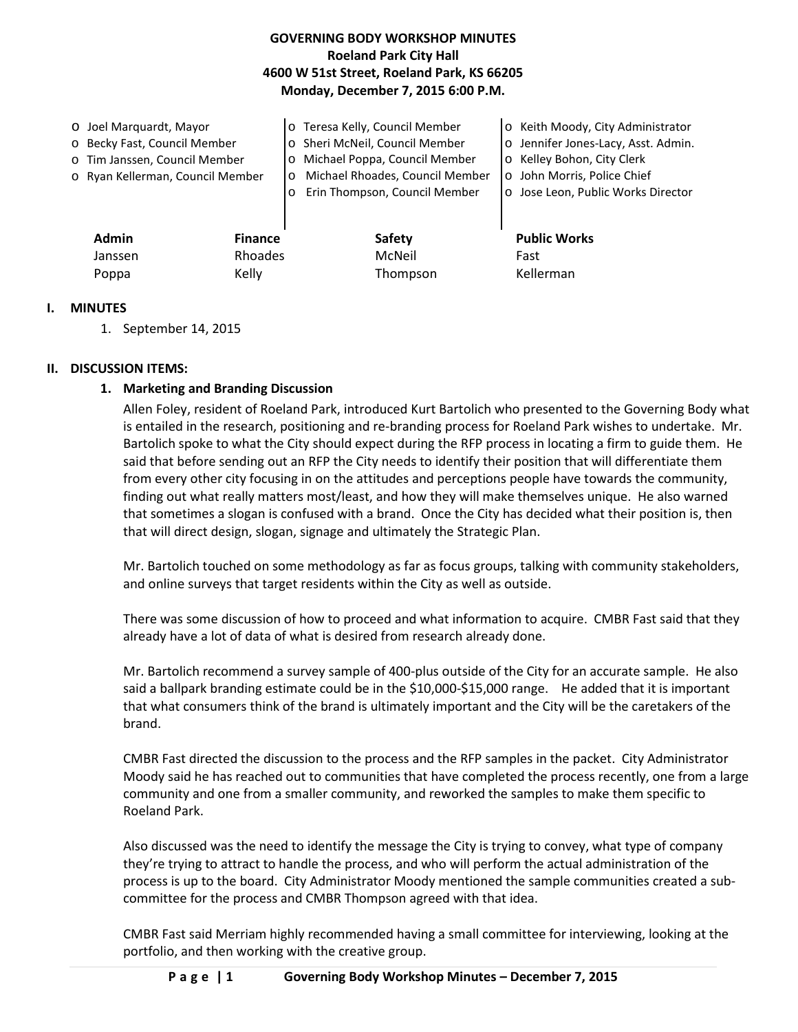# **GOVERNING BODY WORKSHOP MINUTES Roeland Park City Hall 4600 W 51st Street, Roeland Park, KS 66205 Monday, December 7, 2015 6:00 P.M.**

| Admin<br><b>Finance</b>                                                                           |                    | <b>Safety</b>                                                                                                                       | <b>Public Works</b>                                                                                                                    |
|---------------------------------------------------------------------------------------------------|--------------------|-------------------------------------------------------------------------------------------------------------------------------------|----------------------------------------------------------------------------------------------------------------------------------------|
| o Becky Fast, Council Member<br>o Tim Janssen, Council Member<br>o Ryan Kellerman, Council Member | $\circ$<br>$\circ$ | o Sheri McNeil, Council Member<br>Michael Poppa, Council Member<br>Michael Rhoades, Council Member<br>Erin Thompson, Council Member | o Jennifer Jones-Lacy, Asst. Admin.<br>o Kelley Bohon, City Clerk<br>o John Morris, Police Chief<br>o Jose Leon, Public Works Director |
| O Joel Marquardt, Mayor                                                                           |                    | o Teresa Kelly, Council Member                                                                                                      | o Keith Moody, City Administrator                                                                                                      |

| Admin   | <b>Finance</b> | затету   | <b>PUDIIC WO</b> |
|---------|----------------|----------|------------------|
| Janssen | Rhoades        | McNeil   | Fast             |
| Poppa   | Kelly          | Thompson | Kellerman        |

## **I. MINUTES**

1. September 14, 2015

## **II. DISCUSSION ITEMS:**

## **1. Marketing and Branding Discussion**

Allen Foley, resident of Roeland Park, introduced Kurt Bartolich who presented to the Governing Body what is entailed in the research, positioning and re-branding process for Roeland Park wishes to undertake. Mr. Bartolich spoke to what the City should expect during the RFP process in locating a firm to guide them. He said that before sending out an RFP the City needs to identify their position that will differentiate them from every other city focusing in on the attitudes and perceptions people have towards the community, finding out what really matters most/least, and how they will make themselves unique. He also warned that sometimes a slogan is confused with a brand. Once the City has decided what their position is, then that will direct design, slogan, signage and ultimately the Strategic Plan.

Mr. Bartolich touched on some methodology as far as focus groups, talking with community stakeholders, and online surveys that target residents within the City as well as outside.

There was some discussion of how to proceed and what information to acquire. CMBR Fast said that they already have a lot of data of what is desired from research already done.

Mr. Bartolich recommend a survey sample of 400-plus outside of the City for an accurate sample. He also said a ballpark branding estimate could be in the \$10,000-\$15,000 range. He added that it is important that what consumers think of the brand is ultimately important and the City will be the caretakers of the brand.

CMBR Fast directed the discussion to the process and the RFP samples in the packet. City Administrator Moody said he has reached out to communities that have completed the process recently, one from a large community and one from a smaller community, and reworked the samples to make them specific to Roeland Park.

Also discussed was the need to identify the message the City is trying to convey, what type of company they're trying to attract to handle the process, and who will perform the actual administration of the process is up to the board. City Administrator Moody mentioned the sample communities created a subcommittee for the process and CMBR Thompson agreed with that idea.

CMBR Fast said Merriam highly recommended having a small committee for interviewing, looking at the portfolio, and then working with the creative group.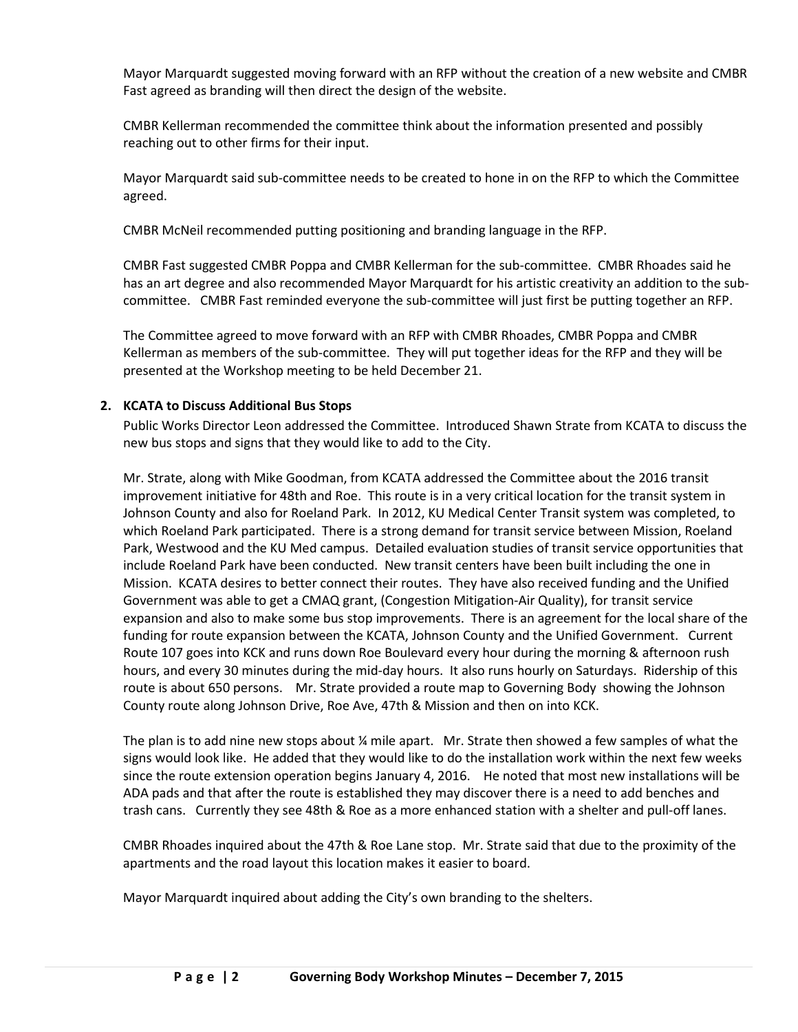Mayor Marquardt suggested moving forward with an RFP without the creation of a new website and CMBR Fast agreed as branding will then direct the design of the website.

CMBR Kellerman recommended the committee think about the information presented and possibly reaching out to other firms for their input.

Mayor Marquardt said sub-committee needs to be created to hone in on the RFP to which the Committee agreed.

CMBR McNeil recommended putting positioning and branding language in the RFP.

CMBR Fast suggested CMBR Poppa and CMBR Kellerman for the sub-committee. CMBR Rhoades said he has an art degree and also recommended Mayor Marquardt for his artistic creativity an addition to the subcommittee. CMBR Fast reminded everyone the sub-committee will just first be putting together an RFP.

The Committee agreed to move forward with an RFP with CMBR Rhoades, CMBR Poppa and CMBR Kellerman as members of the sub-committee. They will put together ideas for the RFP and they will be presented at the Workshop meeting to be held December 21.

## **2. KCATA to Discuss Additional Bus Stops**

Public Works Director Leon addressed the Committee. Introduced Shawn Strate from KCATA to discuss the new bus stops and signs that they would like to add to the City.

Mr. Strate, along with Mike Goodman, from KCATA addressed the Committee about the 2016 transit improvement initiative for 48th and Roe. This route is in a very critical location for the transit system in Johnson County and also for Roeland Park. In 2012, KU Medical Center Transit system was completed, to which Roeland Park participated. There is a strong demand for transit service between Mission, Roeland Park, Westwood and the KU Med campus. Detailed evaluation studies of transit service opportunities that include Roeland Park have been conducted. New transit centers have been built including the one in Mission. KCATA desires to better connect their routes. They have also received funding and the Unified Government was able to get a CMAQ grant, (Congestion Mitigation-Air Quality), for transit service expansion and also to make some bus stop improvements. There is an agreement for the local share of the funding for route expansion between the KCATA, Johnson County and the Unified Government. Current Route 107 goes into KCK and runs down Roe Boulevard every hour during the morning & afternoon rush hours, and every 30 minutes during the mid-day hours. It also runs hourly on Saturdays. Ridership of this route is about 650 persons. Mr. Strate provided a route map to Governing Body showing the Johnson County route along Johnson Drive, Roe Ave, 47th & Mission and then on into KCK.

The plan is to add nine new stops about  $\frac{1}{4}$  mile apart. Mr. Strate then showed a few samples of what the signs would look like. He added that they would like to do the installation work within the next few weeks since the route extension operation begins January 4, 2016. He noted that most new installations will be ADA pads and that after the route is established they may discover there is a need to add benches and trash cans. Currently they see 48th & Roe as a more enhanced station with a shelter and pull-off lanes.

CMBR Rhoades inquired about the 47th & Roe Lane stop. Mr. Strate said that due to the proximity of the apartments and the road layout this location makes it easier to board.

Mayor Marquardt inquired about adding the City's own branding to the shelters.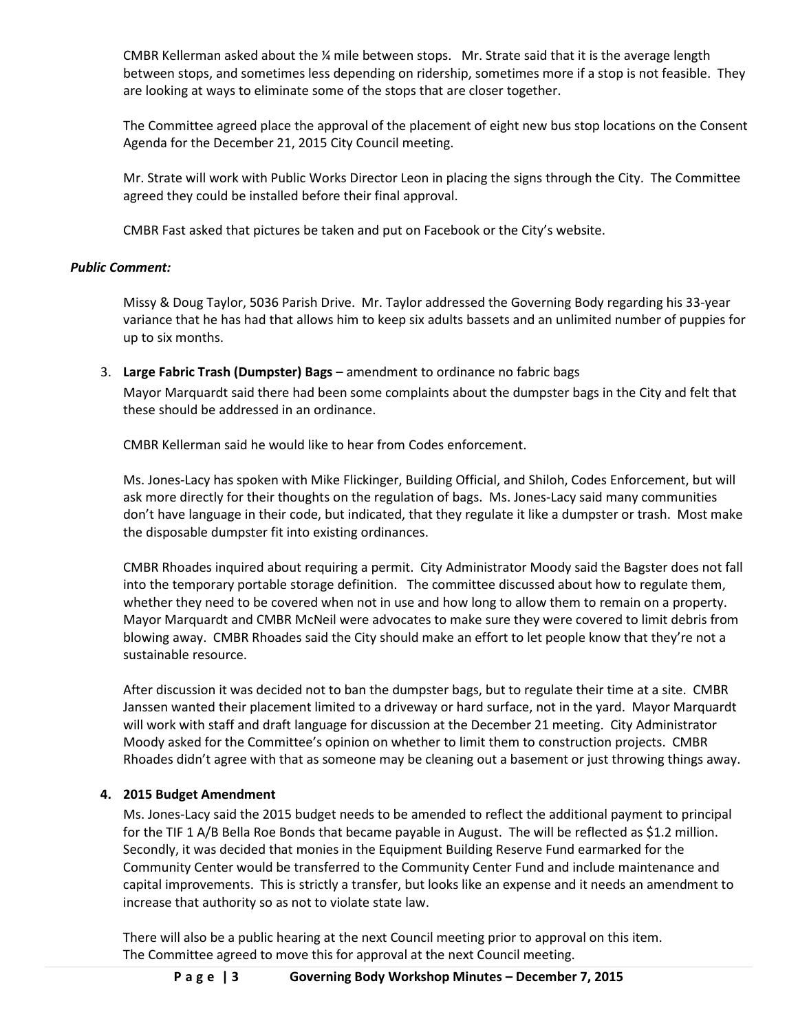CMBR Kellerman asked about the ¼ mile between stops. Mr. Strate said that it is the average length between stops, and sometimes less depending on ridership, sometimes more if a stop is not feasible. They are looking at ways to eliminate some of the stops that are closer together.

The Committee agreed place the approval of the placement of eight new bus stop locations on the Consent Agenda for the December 21, 2015 City Council meeting.

Mr. Strate will work with Public Works Director Leon in placing the signs through the City. The Committee agreed they could be installed before their final approval.

CMBR Fast asked that pictures be taken and put on Facebook or the City's website.

## *Public Comment:*

Missy & Doug Taylor, 5036 Parish Drive. Mr. Taylor addressed the Governing Body regarding his 33-year variance that he has had that allows him to keep six adults bassets and an unlimited number of puppies for up to six months.

3. **Large Fabric Trash (Dumpster) Bags** – amendment to ordinance no fabric bags Mayor Marquardt said there had been some complaints about the dumpster bags in the City and felt that these should be addressed in an ordinance.

CMBR Kellerman said he would like to hear from Codes enforcement.

Ms. Jones-Lacy has spoken with Mike Flickinger, Building Official, and Shiloh, Codes Enforcement, but will ask more directly for their thoughts on the regulation of bags. Ms. Jones-Lacy said many communities don't have language in their code, but indicated, that they regulate it like a dumpster or trash. Most make the disposable dumpster fit into existing ordinances.

CMBR Rhoades inquired about requiring a permit. City Administrator Moody said the Bagster does not fall into the temporary portable storage definition. The committee discussed about how to regulate them, whether they need to be covered when not in use and how long to allow them to remain on a property. Mayor Marquardt and CMBR McNeil were advocates to make sure they were covered to limit debris from blowing away. CMBR Rhoades said the City should make an effort to let people know that they're not a sustainable resource.

After discussion it was decided not to ban the dumpster bags, but to regulate their time at a site. CMBR Janssen wanted their placement limited to a driveway or hard surface, not in the yard. Mayor Marquardt will work with staff and draft language for discussion at the December 21 meeting. City Administrator Moody asked for the Committee's opinion on whether to limit them to construction projects. CMBR Rhoades didn't agree with that as someone may be cleaning out a basement or just throwing things away.

# **4. 2015 Budget Amendment**

Ms. Jones-Lacy said the 2015 budget needs to be amended to reflect the additional payment to principal for the TIF 1 A/B Bella Roe Bonds that became payable in August. The will be reflected as \$1.2 million. Secondly, it was decided that monies in the Equipment Building Reserve Fund earmarked for the Community Center would be transferred to the Community Center Fund and include maintenance and capital improvements. This is strictly a transfer, but looks like an expense and it needs an amendment to increase that authority so as not to violate state law.

There will also be a public hearing at the next Council meeting prior to approval on this item. The Committee agreed to move this for approval at the next Council meeting.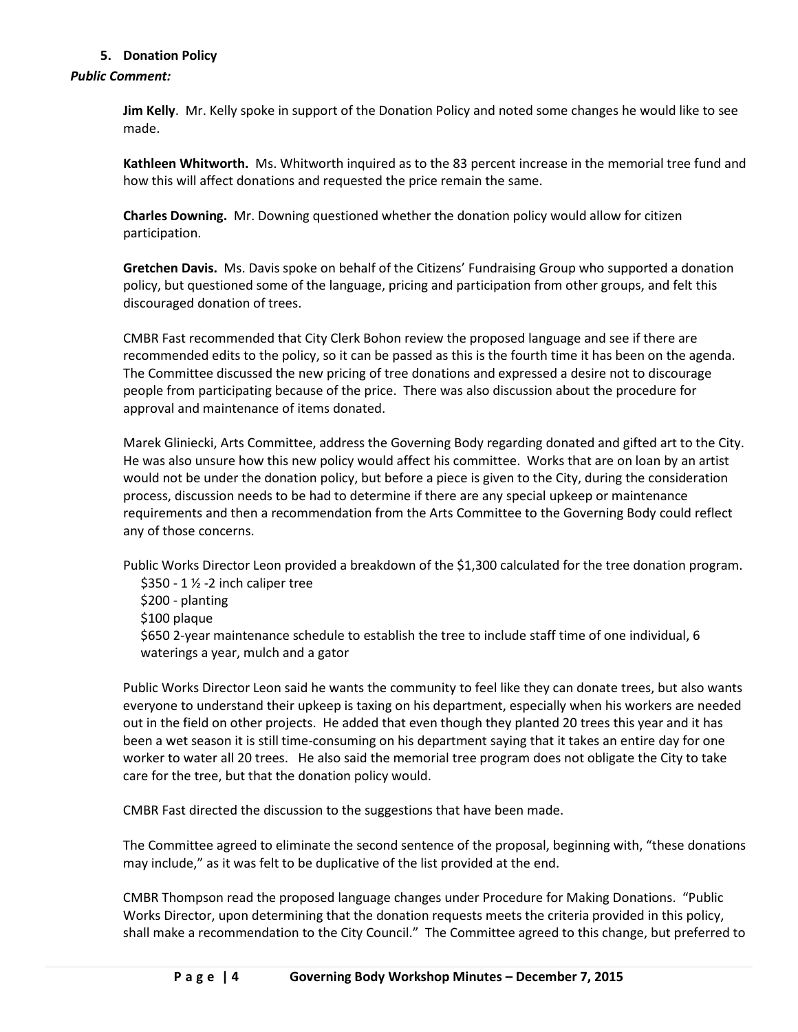# **5. Donation Policy**

## *Public Comment:*

**Jim Kelly**. Mr. Kelly spoke in support of the Donation Policy and noted some changes he would like to see made.

**Kathleen Whitworth.** Ms. Whitworth inquired as to the 83 percent increase in the memorial tree fund and how this will affect donations and requested the price remain the same.

**Charles Downing.** Mr. Downing questioned whether the donation policy would allow for citizen participation.

**Gretchen Davis.** Ms. Davis spoke on behalf of the Citizens' Fundraising Group who supported a donation policy, but questioned some of the language, pricing and participation from other groups, and felt this discouraged donation of trees.

CMBR Fast recommended that City Clerk Bohon review the proposed language and see if there are recommended edits to the policy, so it can be passed as this is the fourth time it has been on the agenda. The Committee discussed the new pricing of tree donations and expressed a desire not to discourage people from participating because of the price. There was also discussion about the procedure for approval and maintenance of items donated.

Marek Gliniecki, Arts Committee, address the Governing Body regarding donated and gifted art to the City. He was also unsure how this new policy would affect his committee. Works that are on loan by an artist would not be under the donation policy, but before a piece is given to the City, during the consideration process, discussion needs to be had to determine if there are any special upkeep or maintenance requirements and then a recommendation from the Arts Committee to the Governing Body could reflect any of those concerns.

Public Works Director Leon provided a breakdown of the \$1,300 calculated for the tree donation program. \$350 - 1 ½ -2 inch caliper tree

\$200 - planting

\$100 plaque

\$650 2-year maintenance schedule to establish the tree to include staff time of one individual, 6 waterings a year, mulch and a gator

Public Works Director Leon said he wants the community to feel like they can donate trees, but also wants everyone to understand their upkeep is taxing on his department, especially when his workers are needed out in the field on other projects. He added that even though they planted 20 trees this year and it has been a wet season it is still time-consuming on his department saying that it takes an entire day for one worker to water all 20 trees. He also said the memorial tree program does not obligate the City to take care for the tree, but that the donation policy would.

CMBR Fast directed the discussion to the suggestions that have been made.

The Committee agreed to eliminate the second sentence of the proposal, beginning with, "these donations may include," as it was felt to be duplicative of the list provided at the end.

CMBR Thompson read the proposed language changes under Procedure for Making Donations. "Public Works Director, upon determining that the donation requests meets the criteria provided in this policy, shall make a recommendation to the City Council." The Committee agreed to this change, but preferred to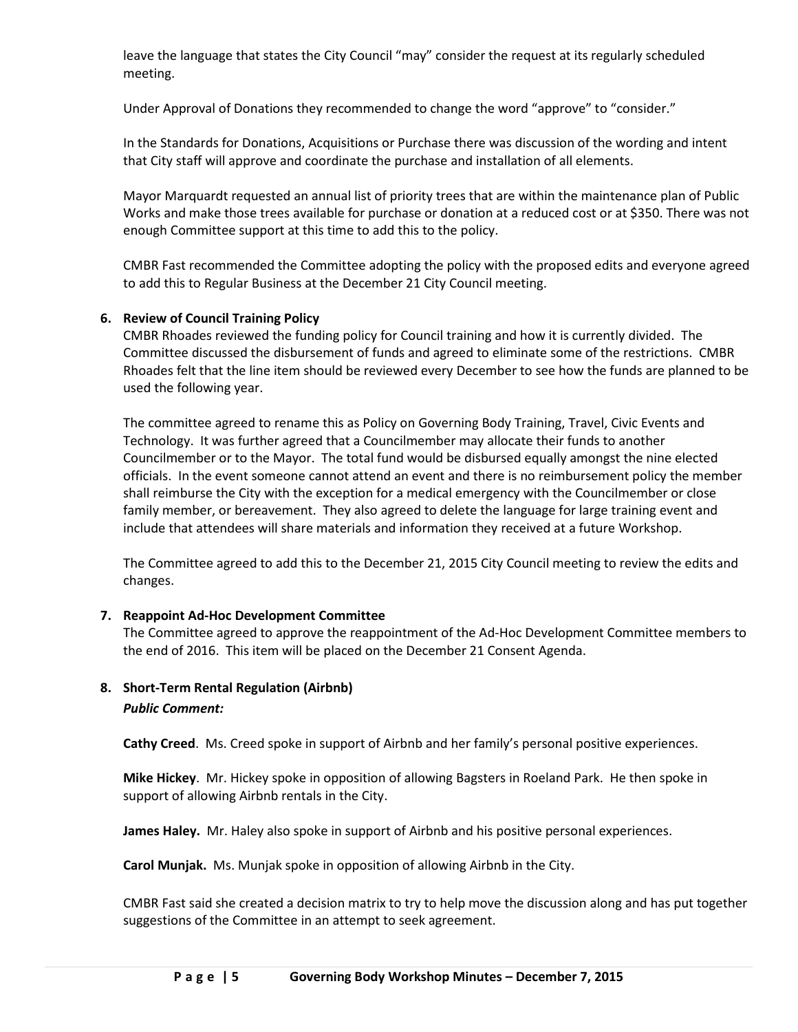leave the language that states the City Council "may" consider the request at its regularly scheduled meeting.

Under Approval of Donations they recommended to change the word "approve" to "consider."

In the Standards for Donations, Acquisitions or Purchase there was discussion of the wording and intent that City staff will approve and coordinate the purchase and installation of all elements.

Mayor Marquardt requested an annual list of priority trees that are within the maintenance plan of Public Works and make those trees available for purchase or donation at a reduced cost or at \$350. There was not enough Committee support at this time to add this to the policy.

CMBR Fast recommended the Committee adopting the policy with the proposed edits and everyone agreed to add this to Regular Business at the December 21 City Council meeting.

# **6. Review of Council Training Policy**

CMBR Rhoades reviewed the funding policy for Council training and how it is currently divided. The Committee discussed the disbursement of funds and agreed to eliminate some of the restrictions. CMBR Rhoades felt that the line item should be reviewed every December to see how the funds are planned to be used the following year.

The committee agreed to rename this as Policy on Governing Body Training, Travel, Civic Events and Technology. It was further agreed that a Councilmember may allocate their funds to another Councilmember or to the Mayor. The total fund would be disbursed equally amongst the nine elected officials. In the event someone cannot attend an event and there is no reimbursement policy the member shall reimburse the City with the exception for a medical emergency with the Councilmember or close family member, or bereavement. They also agreed to delete the language for large training event and include that attendees will share materials and information they received at a future Workshop.

The Committee agreed to add this to the December 21, 2015 City Council meeting to review the edits and changes.

# **7. Reappoint Ad-Hoc Development Committee**

The Committee agreed to approve the reappointment of the Ad-Hoc Development Committee members to the end of 2016. This item will be placed on the December 21 Consent Agenda.

# **8. Short-Term Rental Regulation (Airbnb)**  *Public Comment:*

**Cathy Creed**. Ms. Creed spoke in support of Airbnb and her family's personal positive experiences.

**Mike Hickey**. Mr. Hickey spoke in opposition of allowing Bagsters in Roeland Park. He then spoke in support of allowing Airbnb rentals in the City.

**James Haley.** Mr. Haley also spoke in support of Airbnb and his positive personal experiences.

**Carol Munjak.** Ms. Munjak spoke in opposition of allowing Airbnb in the City.

CMBR Fast said she created a decision matrix to try to help move the discussion along and has put together suggestions of the Committee in an attempt to seek agreement.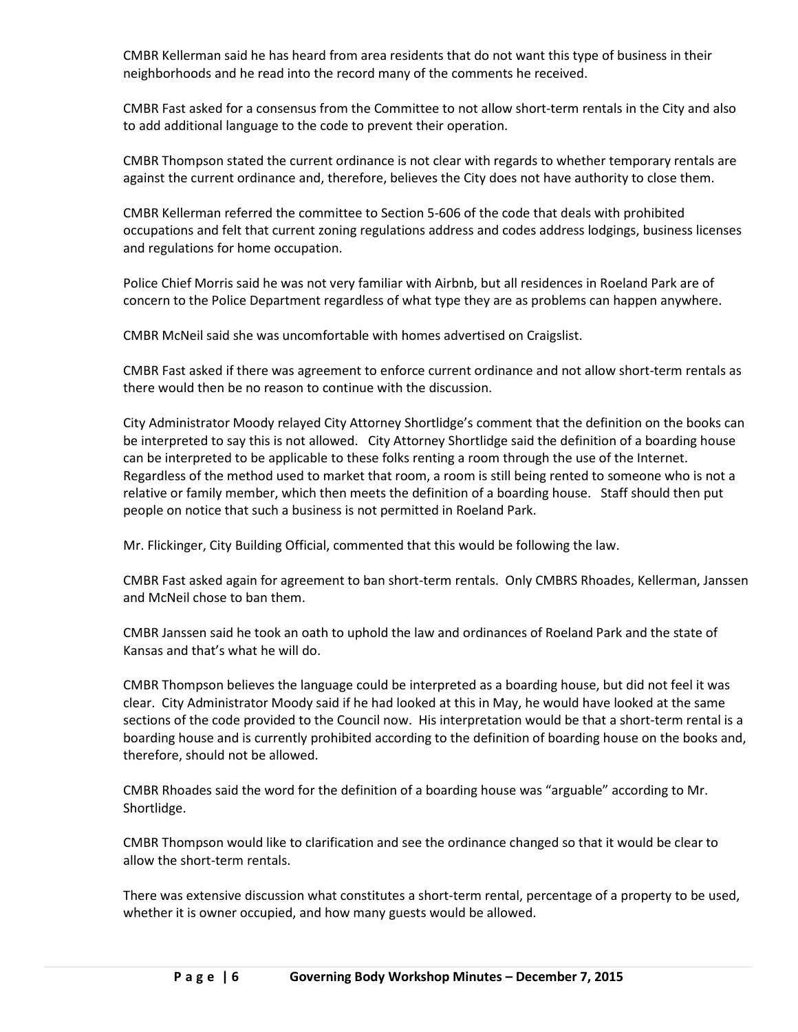CMBR Kellerman said he has heard from area residents that do not want this type of business in their neighborhoods and he read into the record many of the comments he received.

CMBR Fast asked for a consensus from the Committee to not allow short-term rentals in the City and also to add additional language to the code to prevent their operation.

CMBR Thompson stated the current ordinance is not clear with regards to whether temporary rentals are against the current ordinance and, therefore, believes the City does not have authority to close them.

CMBR Kellerman referred the committee to Section 5-606 of the code that deals with prohibited occupations and felt that current zoning regulations address and codes address lodgings, business licenses and regulations for home occupation.

Police Chief Morris said he was not very familiar with Airbnb, but all residences in Roeland Park are of concern to the Police Department regardless of what type they are as problems can happen anywhere.

CMBR McNeil said she was uncomfortable with homes advertised on Craigslist.

CMBR Fast asked if there was agreement to enforce current ordinance and not allow short-term rentals as there would then be no reason to continue with the discussion.

City Administrator Moody relayed City Attorney Shortlidge's comment that the definition on the books can be interpreted to say this is not allowed. City Attorney Shortlidge said the definition of a boarding house can be interpreted to be applicable to these folks renting a room through the use of the Internet. Regardless of the method used to market that room, a room is still being rented to someone who is not a relative or family member, which then meets the definition of a boarding house. Staff should then put people on notice that such a business is not permitted in Roeland Park.

Mr. Flickinger, City Building Official, commented that this would be following the law.

CMBR Fast asked again for agreement to ban short-term rentals. Only CMBRS Rhoades, Kellerman, Janssen and McNeil chose to ban them.

CMBR Janssen said he took an oath to uphold the law and ordinances of Roeland Park and the state of Kansas and that's what he will do.

CMBR Thompson believes the language could be interpreted as a boarding house, but did not feel it was clear. City Administrator Moody said if he had looked at this in May, he would have looked at the same sections of the code provided to the Council now. His interpretation would be that a short-term rental is a boarding house and is currently prohibited according to the definition of boarding house on the books and, therefore, should not be allowed.

CMBR Rhoades said the word for the definition of a boarding house was "arguable" according to Mr. Shortlidge.

CMBR Thompson would like to clarification and see the ordinance changed so that it would be clear to allow the short-term rentals.

There was extensive discussion what constitutes a short-term rental, percentage of a property to be used, whether it is owner occupied, and how many guests would be allowed.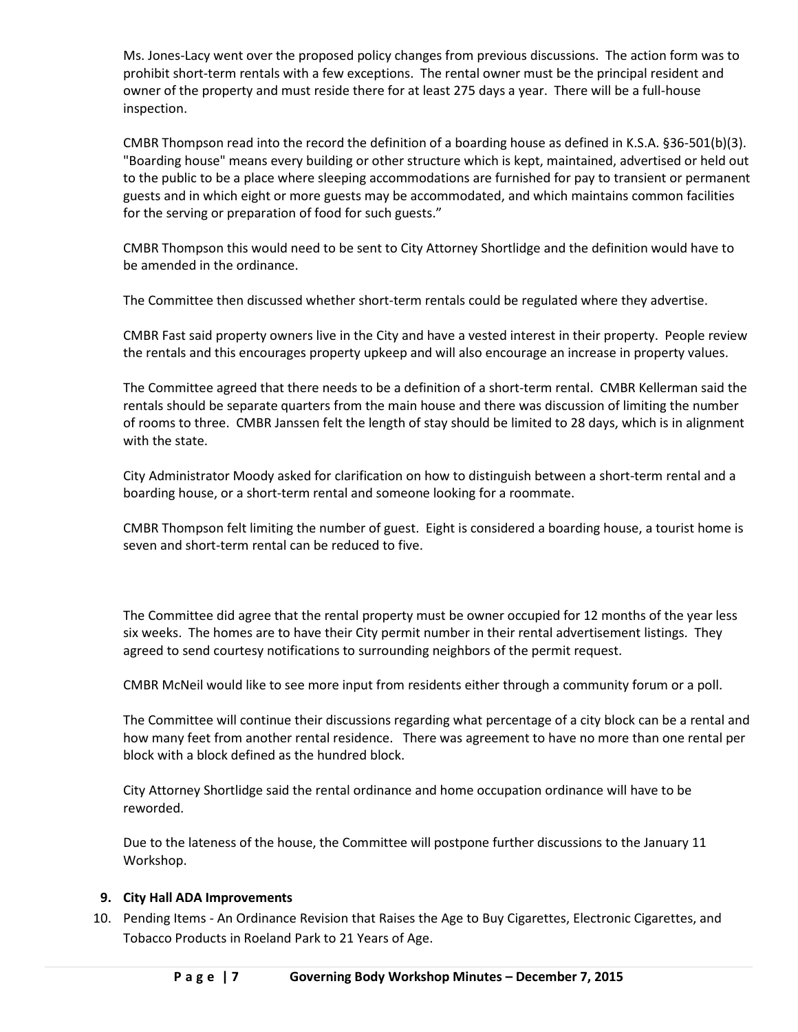Ms. Jones-Lacy went over the proposed policy changes from previous discussions. The action form was to prohibit short-term rentals with a few exceptions. The rental owner must be the principal resident and owner of the property and must reside there for at least 275 days a year. There will be a full-house inspection.

CMBR Thompson read into the record the definition of a boarding house as defined in K.S.A. §36-501(b)(3). "Boarding house" means every building or other structure which is kept, maintained, advertised or held out to the public to be a place where sleeping accommodations are furnished for pay to transient or permanent guests and in which eight or more guests may be accommodated, and which maintains common facilities for the serving or preparation of food for such guests."

CMBR Thompson this would need to be sent to City Attorney Shortlidge and the definition would have to be amended in the ordinance.

The Committee then discussed whether short-term rentals could be regulated where they advertise.

CMBR Fast said property owners live in the City and have a vested interest in their property. People review the rentals and this encourages property upkeep and will also encourage an increase in property values.

The Committee agreed that there needs to be a definition of a short-term rental. CMBR Kellerman said the rentals should be separate quarters from the main house and there was discussion of limiting the number of rooms to three. CMBR Janssen felt the length of stay should be limited to 28 days, which is in alignment with the state.

City Administrator Moody asked for clarification on how to distinguish between a short-term rental and a boarding house, or a short-term rental and someone looking for a roommate.

CMBR Thompson felt limiting the number of guest. Eight is considered a boarding house, a tourist home is seven and short-term rental can be reduced to five.

The Committee did agree that the rental property must be owner occupied for 12 months of the year less six weeks. The homes are to have their City permit number in their rental advertisement listings. They agreed to send courtesy notifications to surrounding neighbors of the permit request.

CMBR McNeil would like to see more input from residents either through a community forum or a poll.

The Committee will continue their discussions regarding what percentage of a city block can be a rental and how many feet from another rental residence. There was agreement to have no more than one rental per block with a block defined as the hundred block.

City Attorney Shortlidge said the rental ordinance and home occupation ordinance will have to be reworded.

Due to the lateness of the house, the Committee will postpone further discussions to the January 11 Workshop.

#### **9. City Hall ADA Improvements**

10. Pending Items - An Ordinance Revision that Raises the Age to Buy Cigarettes, Electronic Cigarettes, and Tobacco Products in Roeland Park to 21 Years of Age.